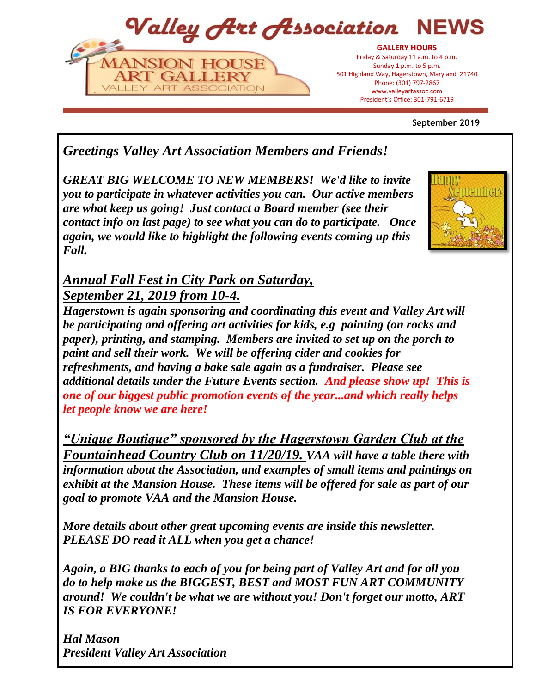Valley Art Association **NFWS** 



President's Office: 301-797-6719 President's Office: 301-791-6719**GALLERY HOURS** Friday & Saturday 11 a.m. to 4 p.m. Sunday 1 p.m. to 5 p.m. 501 Highland Way, Hagerstown, Maryland 21740 Phone: (301) 797-2867 www.valleyartassoc.com

**September 2019**

# *Greetings Valley Art Association Members and Friends!*

*GREAT BIG WELCOME TO NEW MEMBERS! We'd like to invite you to participate in whatever activities you can. Our active members are what keep us going! Just contact a Board member (see their contact info on last page) to see what you can do to participate. Once again, we would like to highlight the following events coming up this Fall.*



## *Annual Fall Fest in City Park on Saturday, September 21, 2019 from 10-4.*

*Hagerstown is again sponsoring and coordinating this event and Valley Art will be participating and offering art activities for kids, e.g painting (on rocks and paper), printing, and stamping. Members are invited to set up on the porch to paint and sell their work. We will be offering cider and cookies for refreshments, and having a bake sale again as a fundraiser. Please see additional details under the Future Events section. And please show up! This is one of our biggest public promotion events of the year...and which really helps let people know we are here!* 

*"Unique Boutique" sponsored by the Hagerstown Garden Club at the Fountainhead Country Club on 11/20/19. VAA will have a table there with information about the Association, and examples of small items and paintings on exhibit at the Mansion House. These items will be offered for sale as part of our goal to promote VAA and the Mansion House.*

*More details about other great upcoming events are inside this newsletter. PLEASE DO read it ALL when you get a chance!* 

*Again, a BIG thanks to each of you for being part of Valley Art and for all you do to help make us the BIGGEST, BEST and MOST FUN ART COMMUNITY around! We couldn't be what we are without you! Don't forget our motto, ART IS FOR EVERYONE!*

*Hal Mason President Valley Art Association*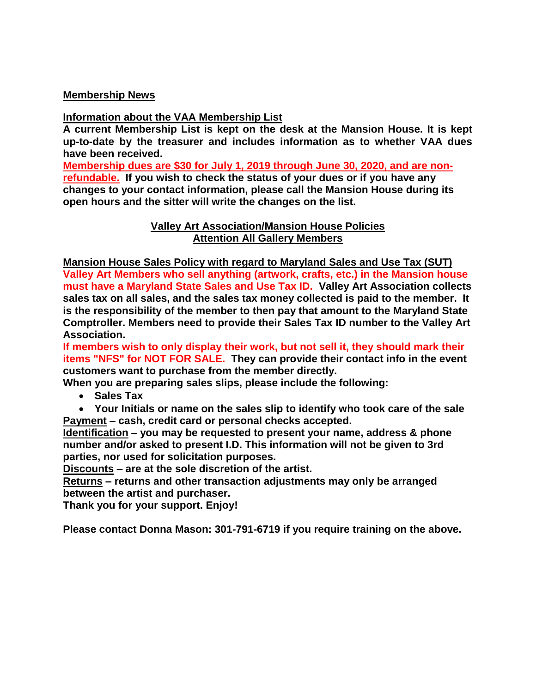### **Membership News**

## **Information about the VAA Membership List**

**A current Membership List is kept on the desk at the Mansion House. It is kept up-to-date by the treasurer and includes information as to whether VAA dues have been received.** 

**Membership dues are \$30 for July 1, 2019 through June 30, 2020, and are nonrefundable. If you wish to check the status of your dues or if you have any changes to your contact information, please call the Mansion House during its open hours and the sitter will write the changes on the list.**

> **Valley Art Association/Mansion House Policies Attention All Gallery Members**

**Mansion House Sales Policy with regard to Maryland Sales and Use Tax (SUT) Valley Art Members who sell anything (artwork, crafts, etc.) in the Mansion house must have a Maryland State Sales and Use Tax ID. Valley Art Association collects sales tax on all sales, and the sales tax money collected is paid to the member. It is the responsibility of the member to then pay that amount to the Maryland State Comptroller. Members need to provide their Sales Tax ID number to the Valley Art Association.** 

**If members wish to only display their work, but not sell it, they should mark their items "NFS" for NOT FOR SALE. They can provide their contact info in the event customers want to purchase from the member directly.** 

**When you are preparing sales slips, please include the following:**

**Sales Tax**

 **Your Initials or name on the sales slip to identify who took care of the sale Payment – cash, credit card or personal checks accepted.**

**Identification – you may be requested to present your name, address & phone number and/or asked to present I.D. This information will not be given to 3rd parties, nor used for solicitation purposes.**

**Discounts – are at the sole discretion of the artist.**

**Returns – returns and other transaction adjustments may only be arranged between the artist and purchaser.**

**Thank you for your support. Enjoy!**

**Please contact Donna Mason: 301-791-6719 if you require training on the above.**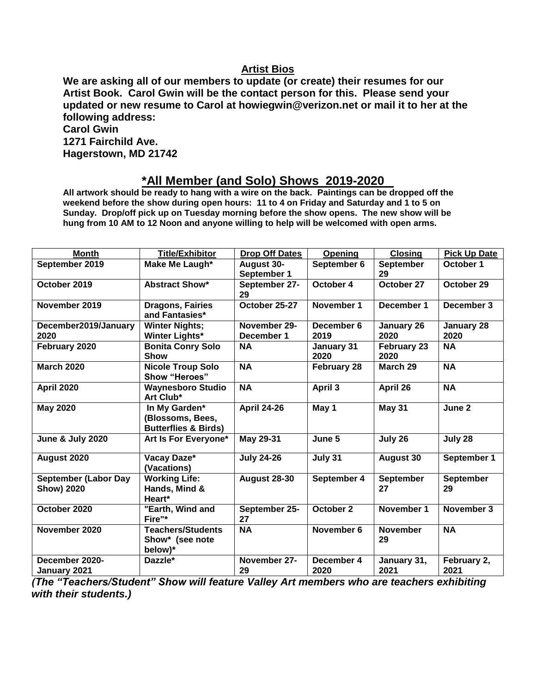## **Artist Bios**

**We are asking all of our members to update (or create) their resumes for our Artist Book. Carol Gwin will be the contact person for this. Please send your updated or new resume to Carol at howiegwin@verizon.net or mail it to her at the following address:**

| <b>Carol Gwin</b>    |  |
|----------------------|--|
| 1271 Fairchild Ave.  |  |
| Hagerstown, MD 21742 |  |

## **\*All Member (and Solo) Shows 2019-2020**

**All artwork should be ready to hang with a wire on the back. Paintings can be dropped off the weekend before the show during open hours: 11 to 4 on Friday and Saturday and 1 to 5 on Sunday. Drop/off pick up on Tuesday morning before the show opens. The new show will be hung from 10 AM to 12 Noon and anyone willing to help will be welcomed with open arms.** 

| <b>Month</b>                | <b>Title/Exhibitor</b>                  | <b>Drop Off Dates</b> | Opening            | <b>Closing</b>      | <b>Pick Up Date</b> |
|-----------------------------|-----------------------------------------|-----------------------|--------------------|---------------------|---------------------|
| September 2019              | Make Me Laugh*                          | <b>August 30-</b>     | September 6        | <b>September</b>    | October 1           |
|                             |                                         | September 1           |                    | 29                  |                     |
| October 2019                | <b>Abstract Show*</b>                   | September 27-         | October 4          | October 27          | October 29          |
|                             |                                         | 29                    |                    |                     |                     |
| November 2019               | <b>Dragons, Fairies</b>                 | October 25-27         | November 1         | December 1          | December 3          |
|                             | and Fantasies*                          |                       |                    |                     |                     |
| December2019/January        | <b>Winter Nights;</b>                   | November 29-          | December 6         | January 26          | January 28          |
| 2020                        | <b>Winter Lights*</b>                   | December 1            | 2019               | 2020                | 2020                |
| February 2020               | <b>Bonita Conry Solo</b><br><b>Show</b> | <b>NA</b>             | January 31<br>2020 | February 23<br>2020 | <b>NA</b>           |
| <b>March 2020</b>           | <b>Nicole Troup Solo</b>                | <b>NA</b>             | <b>February 28</b> | March 29            | <b>NA</b>           |
|                             | Show "Heroes"                           |                       |                    |                     |                     |
| <b>April 2020</b>           | <b>Waynesboro Studio</b><br>Art Club*   | <b>NA</b>             | April 3            | April 26            | <b>NA</b>           |
| <b>May 2020</b>             | In My Garden*                           | <b>April 24-26</b>    | May 1              | <b>May 31</b>       | June 2              |
|                             | (Blossoms, Bees,                        |                       |                    |                     |                     |
|                             | <b>Butterflies &amp; Birds)</b>         |                       |                    |                     |                     |
| <b>June &amp; July 2020</b> | Art Is For Everyone*                    | May 29-31             | June 5             | July 26             | July 28             |
| August 2020                 | Vacay Daze*                             | <b>July 24-26</b>     | July 31            | <b>August 30</b>    | September 1         |
|                             | (Vacations)                             |                       |                    |                     |                     |
| <b>September (Labor Day</b> | <b>Working Life:</b>                    | <b>August 28-30</b>   | September 4        | September           | September           |
| <b>Show) 2020</b>           | Hands, Mind &                           |                       |                    | 27                  | 29                  |
|                             | Heart*                                  |                       |                    |                     |                     |
| October 2020                | "Earth, Wind and                        | September 25-         | October 2          | November 1          | November 3          |
|                             | Fire"*                                  | 27                    |                    |                     |                     |
| November 2020               | <b>Teachers/Students</b>                | <b>NA</b>             | November 6         | <b>November</b>     | <b>NA</b>           |
|                             | Show* (see note                         |                       |                    | 29                  |                     |
|                             | below)*                                 |                       |                    |                     |                     |
| December 2020-              | Dazzle*                                 | November 27-          | December 4         | January 31,         | February 2,         |
| January 2021                |                                         | 29                    | 2020               | 2021                | 2021                |

*(The "Teachers/Student" Show will feature Valley Art members who are teachers exhibiting with their students.)*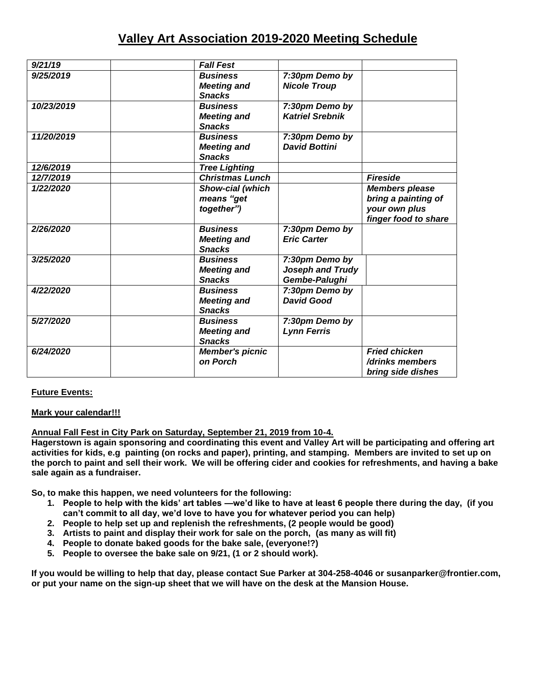## **Valley Art Association 2019-2020 Meeting Schedule**

| 9/21/19    | <b>Fall Fest</b>       |                        |                       |
|------------|------------------------|------------------------|-----------------------|
| 9/25/2019  | <b>Business</b>        | 7:30pm Demo by         |                       |
|            | <b>Meeting and</b>     | <b>Nicole Troup</b>    |                       |
|            | <b>Snacks</b>          |                        |                       |
| 10/23/2019 | <b>Business</b>        | 7:30pm Demo by         |                       |
|            | <b>Meeting and</b>     | <b>Katriel Srebnik</b> |                       |
|            | <b>Snacks</b>          |                        |                       |
| 11/20/2019 | <b>Business</b>        | 7:30pm Demo by         |                       |
|            | <b>Meeting and</b>     | <b>David Bottini</b>   |                       |
|            | <b>Snacks</b>          |                        |                       |
| 12/6/2019  | <b>Tree Lighting</b>   |                        |                       |
| 12/7/2019  | <b>Christmas Lunch</b> |                        | <b>Fireside</b>       |
| 1/22/2020  | Show-cial (which       |                        | <b>Members please</b> |
|            | means "get             |                        | bring a painting of   |
|            | together")             |                        | your own plus         |
|            |                        |                        | finger food to share  |
| 2/26/2020  | <b>Business</b>        | 7:30pm Demo by         |                       |
|            | <b>Meeting and</b>     | <b>Eric Carter</b>     |                       |
|            | <b>Snacks</b>          |                        |                       |
| 3/25/2020  | <b>Business</b>        | 7:30pm Demo by         |                       |
|            | <b>Meeting and</b>     | Joseph and Trudy       |                       |
|            | <b>Snacks</b>          | Gembe-Palughi          |                       |
| 4/22/2020  | <b>Business</b>        | 7:30pm Demo by         |                       |
|            | <b>Meeting and</b>     | <b>David Good</b>      |                       |
|            | <b>Snacks</b>          |                        |                       |
| 5/27/2020  | <b>Business</b>        | 7:30pm Demo by         |                       |
|            | <b>Meeting and</b>     | <b>Lynn Ferris</b>     |                       |
|            | <b>Snacks</b>          |                        |                       |
| 6/24/2020  | <b>Member's picnic</b> |                        | <b>Fried chicken</b>  |
|            | on Porch               |                        | /drinks members       |
|            |                        |                        | bring side dishes     |

#### **Future Events:**

#### **Mark your calendar!!!**

### **Annual Fall Fest in City Park on Saturday, September 21, 2019 from 10-4.**

**Hagerstown is again sponsoring and coordinating this event and Valley Art will be participating and offering art activities for kids, e.g painting (on rocks and paper), printing, and stamping. Members are invited to set up on the porch to paint and sell their work. We will be offering cider and cookies for refreshments, and having a bake sale again as a fundraiser.**

**So, to make this happen, we need volunteers for the following:**

- **1. People to help with the kids' art tables —we'd like to have at least 6 people there during the day, (if you can't commit to all day, we'd love to have you for whatever period you can help)**
- **2. People to help set up and replenish the refreshments, (2 people would be good)**
- **3. Artists to paint and display their work for sale on the porch, (as many as will fit)**
- **4. People to donate baked goods for the bake sale, (everyone!?)**
- **5. People to oversee the bake sale on 9/21, (1 or 2 should work).**

**If you would be willing to help that day, please contact Sue Parker at 304-258-4046 or susanparker@frontier.com, or put your name on the sign-up sheet that we will have on the desk at the Mansion House.**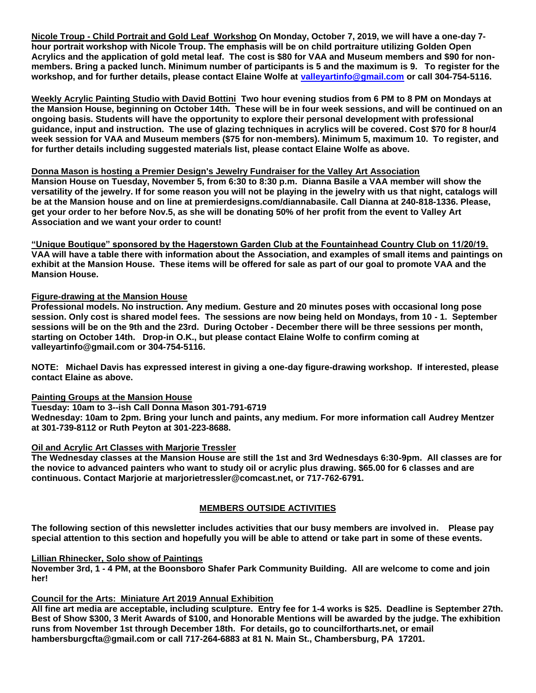**Nicole Troup - Child Portrait and Gold Leaf Workshop On Monday, October 7, 2019, we will have a one-day 7 hour portrait workshop with Nicole Troup. The emphasis will be on child portraiture utilizing Golden Open Acrylics and the application of gold metal leaf. The cost is \$80 for VAA and Museum members and \$90 for nonmembers. Bring a packed lunch. Minimum number of participants is 5 and the maximum is 9. To register for the workshop, and for further details, please contact Elaine Wolfe at [valleyartinfo@gmail.com](mailto:valleyartinfo@gmail.com) or call 304-754-5116.**

**Weekly Acrylic Painting Studio with David Bottini Two hour evening studios from 6 PM to 8 PM on Mondays at the Mansion House, beginning on October 14th. These will be in four week sessions, and will be continued on an ongoing basis. Students will have the opportunity to explore their personal development with professional guidance, input and instruction. The use of glazing techniques in acrylics will be covered. Cost \$70 for 8 hour/4 week session for VAA and Museum members (\$75 for non-members). Minimum 5, maximum 10. To register, and for further details including suggested materials list, please contact Elaine Wolfe as above.**

#### **Donna Mason is hosting a Premier Design's Jewelry Fundraiser for the Valley Art Association**

**Mansion House on Tuesday, November 5, from 6:30 to 8:30 p.m. Dianna Basile a VAA member will show the versatility of the jewelry. If for some reason you will not be playing in the jewelry with us that night, catalogs will be at the Mansion house and on line at premierdesigns.com/diannabasile. Call Dianna at 240-818-1336. Please, get your order to her before Nov.5, as she will be donating 50% of her profit from the event to Valley Art Association and we want your order to count!** 

**"Unique Boutique" sponsored by the Hagerstown Garden Club at the Fountainhead Country Club on 11/20/19. VAA will have a table there with information about the Association, and examples of small items and paintings on exhibit at the Mansion House. These items will be offered for sale as part of our goal to promote VAA and the Mansion House.**

#### **Figure-drawing at the Mansion House**

**Professional models. No instruction. Any medium. Gesture and 20 minutes poses with occasional long pose session. Only cost is shared model fees. The sessions are now being held on Mondays, from 10 - 1. September sessions will be on the 9th and the 23rd. During October - December there will be three sessions per month, starting on October 14th. Drop-in O.K., but please contact Elaine Wolfe to confirm coming at valleyartinfo@gmail.com or 304-754-5116.**

**NOTE: Michael Davis has expressed interest in giving a one-day figure-drawing workshop. If interested, please contact Elaine as above.**

#### **Painting Groups at the Mansion House**

**Tuesday: 10am to 3--ish Call Donna Mason 301-791-6719**

**Wednesday: 10am to 2pm. Bring your lunch and paints, any medium. For more information call Audrey Mentzer at 301-739-8112 or Ruth Peyton at 301-223-8688.**

#### **Oil and Acrylic Art Classes with Marjorie Tressler**

**The Wednesday classes at the Mansion House are still the 1st and 3rd Wednesdays 6:30-9pm. All classes are for the novice to advanced painters who want to study oil or acrylic plus drawing. \$65.00 for 6 classes and are continuous. Contact Marjorie at marjorietressler@comcast.net, or 717-762-6791.**

#### **MEMBERS OUTSIDE ACTIVITIES**

**The following section of this newsletter includes activities that our busy members are involved in. Please pay special attention to this section and hopefully you will be able to attend or take part in some of these events.**

#### **Lillian Rhinecker, Solo show of Paintings**

**November 3rd, 1 - 4 PM, at the Boonsboro Shafer Park Community Building. All are welcome to come and join her!**

#### **Council for the Arts: Miniature Art 2019 Annual Exhibition**

**All fine art media are acceptable, including sculpture. Entry fee for 1-4 works is \$25. Deadline is September 27th. Best of Show \$300, 3 Merit Awards of \$100, and Honorable Mentions will be awarded by the judge. The exhibition runs from November 1st through December 18th. For details, go to councilfortharts.net, or email hambersburgcfta@gmail.com or call 717-264-6883 at 81 N. Main St., Chambersburg, PA 17201.**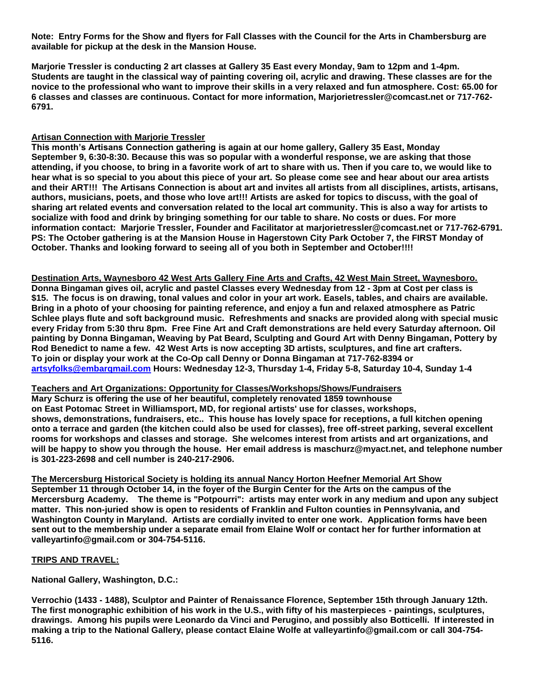**Note: Entry Forms for the Show and flyers for Fall Classes with the Council for the Arts in Chambersburg are available for pickup at the desk in the Mansion House.**

**Marjorie Tressler is conducting 2 art classes at Gallery 35 East every Monday, 9am to 12pm and 1-4pm. Students are taught in the classical way of painting covering oil, acrylic and drawing. These classes are for the novice to the professional who want to improve their skills in a very relaxed and fun atmosphere. Cost: 65.00 for 6 classes and classes are continuous. Contact for more information, Marjorietressler@comcast.net or 717-762- 6791.** 

#### **Artisan Connection with Marjorie Tressler**

**This month's Artisans Connection gathering is again at our home gallery, Gallery 35 East, Monday September 9, 6:30-8:30. Because this was so popular with a wonderful response, we are asking that those attending, if you choose, to bring in a favorite work of art to share with us. Then if you care to, we would like to hear what is so special to you about this piece of your art. So please come see and hear about our area artists and their ART!!! The Artisans Connection is about art and invites all artists from all disciplines, artists, artisans, authors, musicians, poets, and those who love art!!! Artists are asked for topics to discuss, with the goal of sharing art related events and conversation related to the local art community. This is also a way for artists to socialize with food and drink by bringing something for our table to share. No costs or dues. For more information contact: Marjorie Tressler, Founder and Facilitator at marjorietressler@comcast.net or 717-762-6791. PS: The October gathering is at the Mansion House in Hagerstown City Park October 7, the FIRST Monday of October. Thanks and looking forward to seeing all of you both in September and October!!!!** 

**Destination Arts, Waynesboro 42 West Arts Gallery Fine Arts and Crafts, 42 West Main Street, Waynesboro. Donna Bingaman gives oil, acrylic and pastel Classes every Wednesday from 12 - 3pm at Cost per class is \$15. The focus is on drawing, tonal values and color in your art work. Easels, tables, and chairs are available. Bring in a photo of your choosing for painting reference, and enjoy a fun and relaxed atmosphere as Patric Schlee plays flute and soft background music. Refreshments and snacks are provided along with special music every Friday from 5:30 thru 8pm. Free Fine Art and Craft demonstrations are held every Saturday afternoon. Oil painting by Donna Bingaman, Weaving by Pat Beard, Sculpting and Gourd Art with Denny Bingaman, Pottery by Rod Benedict to name a few. 42 West Arts is now accepting 3D artists, sculptures, and fine art crafters. To join or display your work at the Co-Op call Denny or Donna Bingaman at 717-762-8394 or [artsyfolks@embarqmail.com](mailto:artsyfolks@embarqmail.com) Hours: Wednesday 12-3, Thursday 1-4, Friday 5-8, Saturday 10-4, Sunday 1-4**

**Teachers and Art Organizations: Opportunity for Classes/Workshops/Shows/Fundraisers Mary Schurz is offering the use of her beautiful, completely renovated 1859 townhouse on East Potomac Street in Williamsport, MD, for regional artists' use for classes, workshops, shows, demonstrations, fundraisers, etc.. This house has lovely space for receptions, a full kitchen opening onto a terrace and garden (the kitchen could also be used for classes), free off-street parking, several excellent rooms for workshops and classes and storage. She welcomes interest from artists and art organizations, and will be happy to show you through the house. Her email address is maschurz@myact.net, and telephone number is 301-223-2698 and cell number is 240-217-2906.**

**The Mercersburg Historical Society is holding its annual Nancy Horton Heefner Memorial Art Show September 11 through October 14, in the foyer of the Burgin Center for the Arts on the campus of the Mercersburg Academy. The theme is "Potpourri": artists may enter work in any medium and upon any subject matter. This non-juried show is open to residents of Franklin and Fulton counties in Pennsylvania, and Washington County in Maryland. Artists are cordially invited to enter one work. Application forms have been sent out to the membership under a separate email from Elaine Wolf or contact her for further information at valleyartinfo@gmail.com or 304-754-5116.**

#### **TRIPS AND TRAVEL:**

**National Gallery, Washington, D.C.:**

**Verrochio (1433 - 1488), Sculptor and Painter of Renaissance Florence, September 15th through January 12th. The first monographic exhibition of his work in the U.S., with fifty of his masterpieces - paintings, sculptures, drawings. Among his pupils were Leonardo da Vinci and Perugino, and possibly also Botticelli. If interested in making a trip to the National Gallery, please contact Elaine Wolfe at valleyartinfo@gmail.com or call 304-754- 5116.**